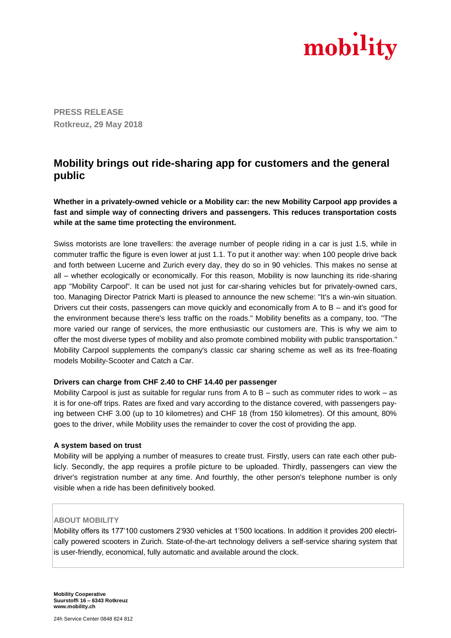

**PRESS RELEASE Rotkreuz, 29 May 2018**

## **Mobility brings out ride-sharing app for customers and the general public**

**Whether in a privately-owned vehicle or a Mobility car: the new Mobility Carpool app provides a fast and simple way of connecting drivers and passengers. This reduces transportation costs while at the same time protecting the environment.**

Swiss motorists are lone travellers: the average number of people riding in a car is just 1.5, while in commuter traffic the figure is even lower at just 1.1. To put it another way: when 100 people drive back and forth between Lucerne and Zurich every day, they do so in 90 vehicles. This makes no sense at all – whether ecologically or economically. For this reason, Mobility is now launching its ride-sharing app "Mobility Carpool". It can be used not just for car-sharing vehicles but for privately-owned cars, too. Managing Director Patrick Marti is pleased to announce the new scheme: "It's a win-win situation. Drivers cut their costs, passengers can move quickly and economically from A to B – and it's good for the environment because there's less traffic on the roads." Mobility benefits as a company, too. "The more varied our range of services, the more enthusiastic our customers are. This is why we aim to offer the most diverse types of mobility and also promote combined mobility with public transportation." Mobility Carpool supplements the company's classic car sharing scheme as well as its free-floating models Mobility-Scooter and Catch a Car.

## **Drivers can charge from CHF 2.40 to CHF 14.40 per passenger**

Mobility Carpool is just as suitable for regular runs from A to B – such as commuter rides to work – as it is for one-off trips. Rates are fixed and vary according to the distance covered, with passengers paying between CHF 3.00 (up to 10 kilometres) and CHF 18 (from 150 kilometres). Of this amount, 80% goes to the driver, while Mobility uses the remainder to cover the cost of providing the app.

## **A system based on trust**

Mobility will be applying a number of measures to create trust. Firstly, users can rate each other publicly. Secondly, the app requires a profile picture to be uploaded. Thirdly, passengers can view the driver's registration number at any time. And fourthly, the other person's telephone number is only visible when a ride has been definitively booked.

## **ABOUT MOBILITY**

Mobility offers its 177'100 customers 2'930 vehicles at 1'500 locations. In addition it provides 200 electrically powered scooters in Zurich. State-of-the-art technology delivers a self-service sharing system that is user-friendly, economical, fully automatic and available around the clock.